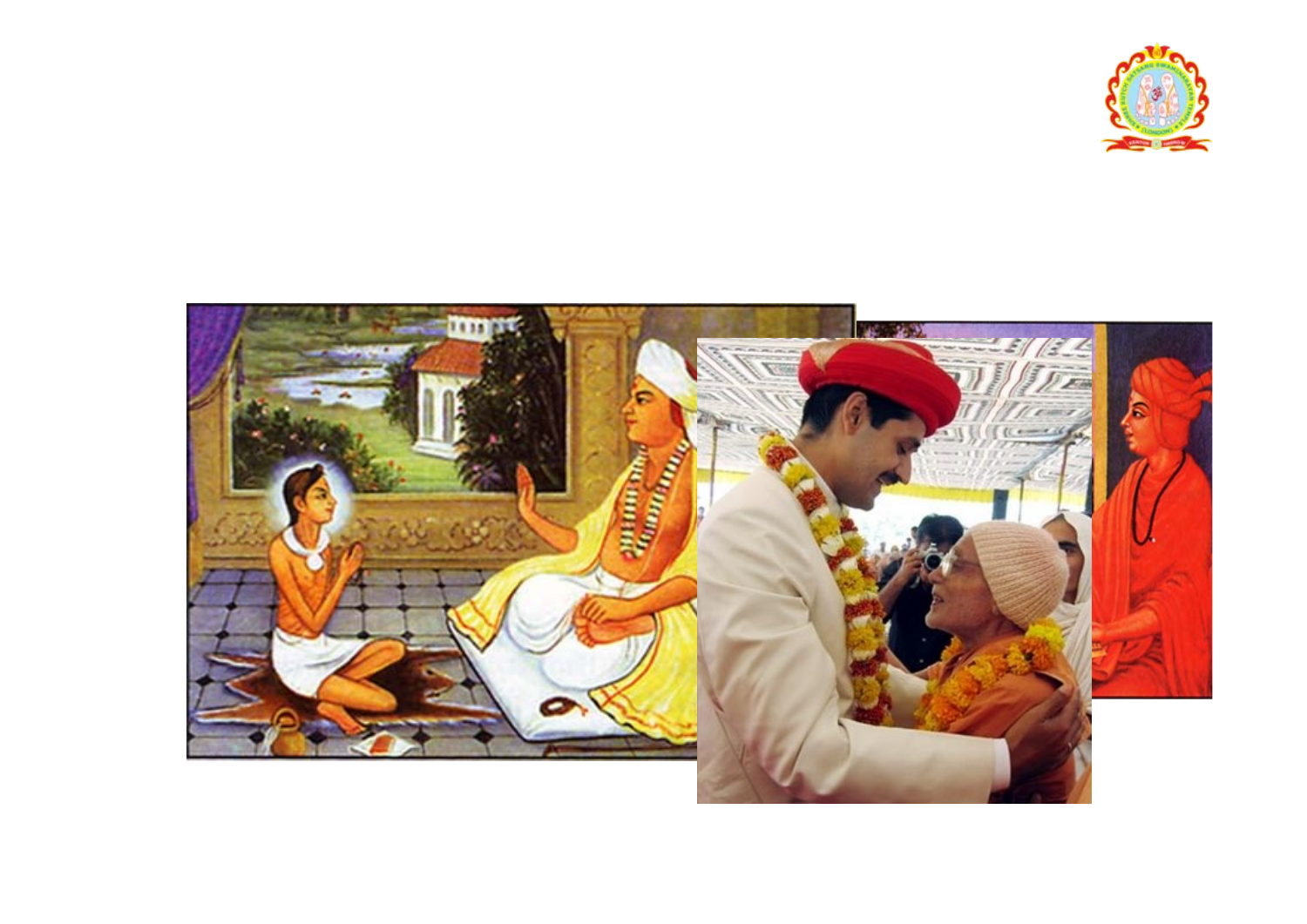

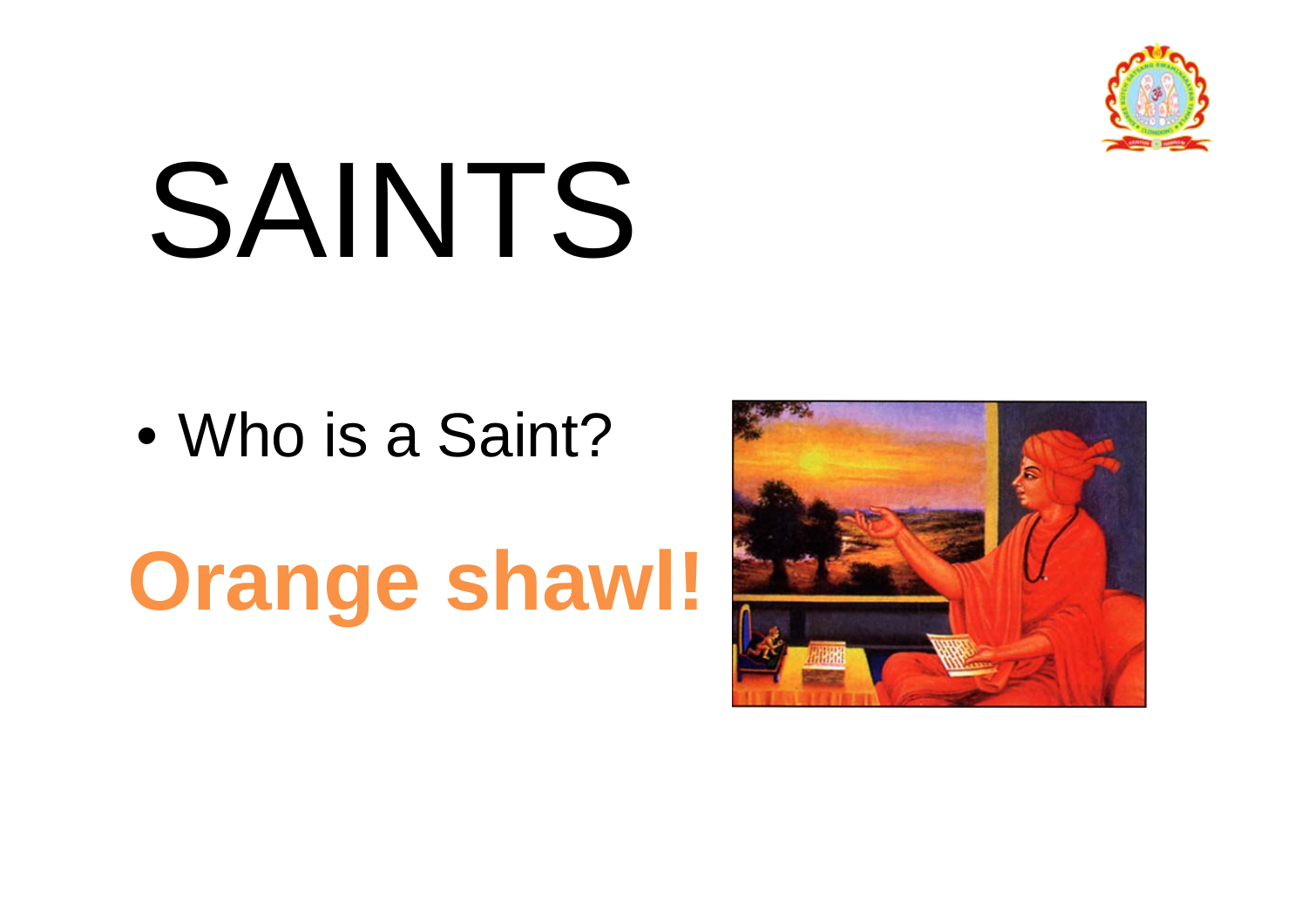

 $\bullet$ Who is a Saint?

### **Orange shawl!**

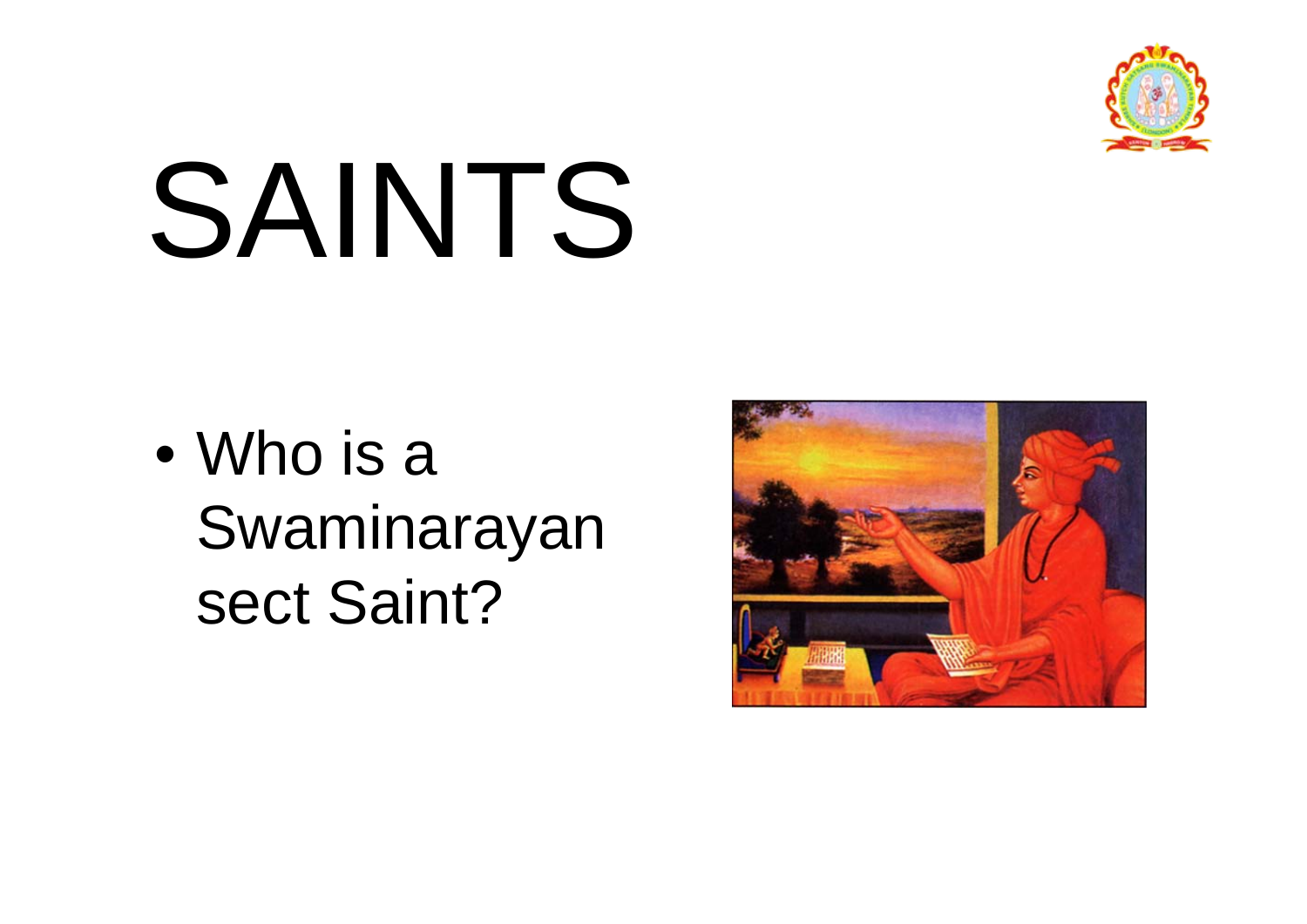

 $\bullet$  Who is a Swaminarayan sect Saint?

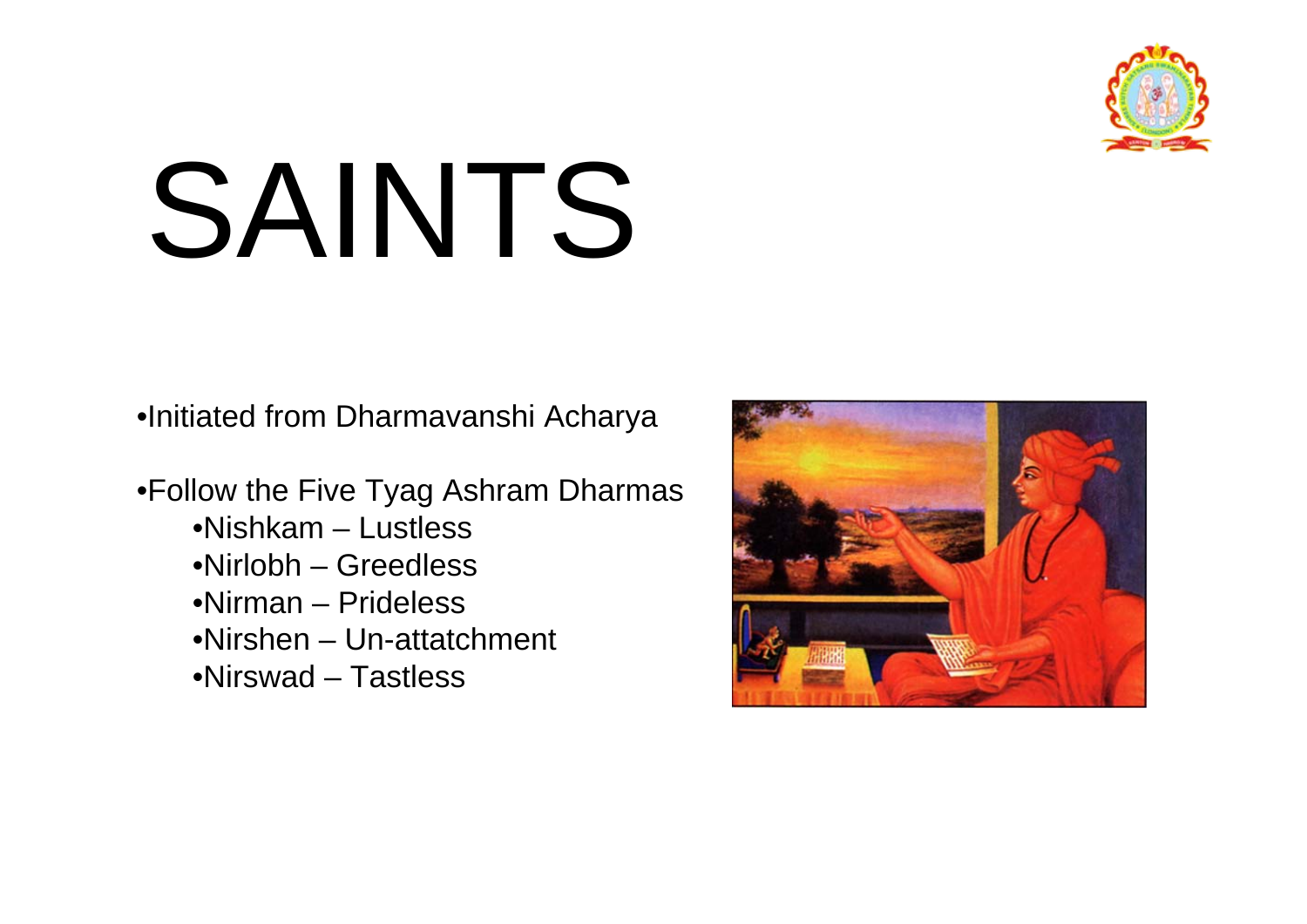

•Initiated from Dharmavanshi Acharya

•Follow the Five Tyag Ashram Dharmas

- •Nishkam Lustless
- •Nirlobh Greedless
- •Nirman Prideless
- •Nirshen Un-attatchment
- •Nirswad Tastless

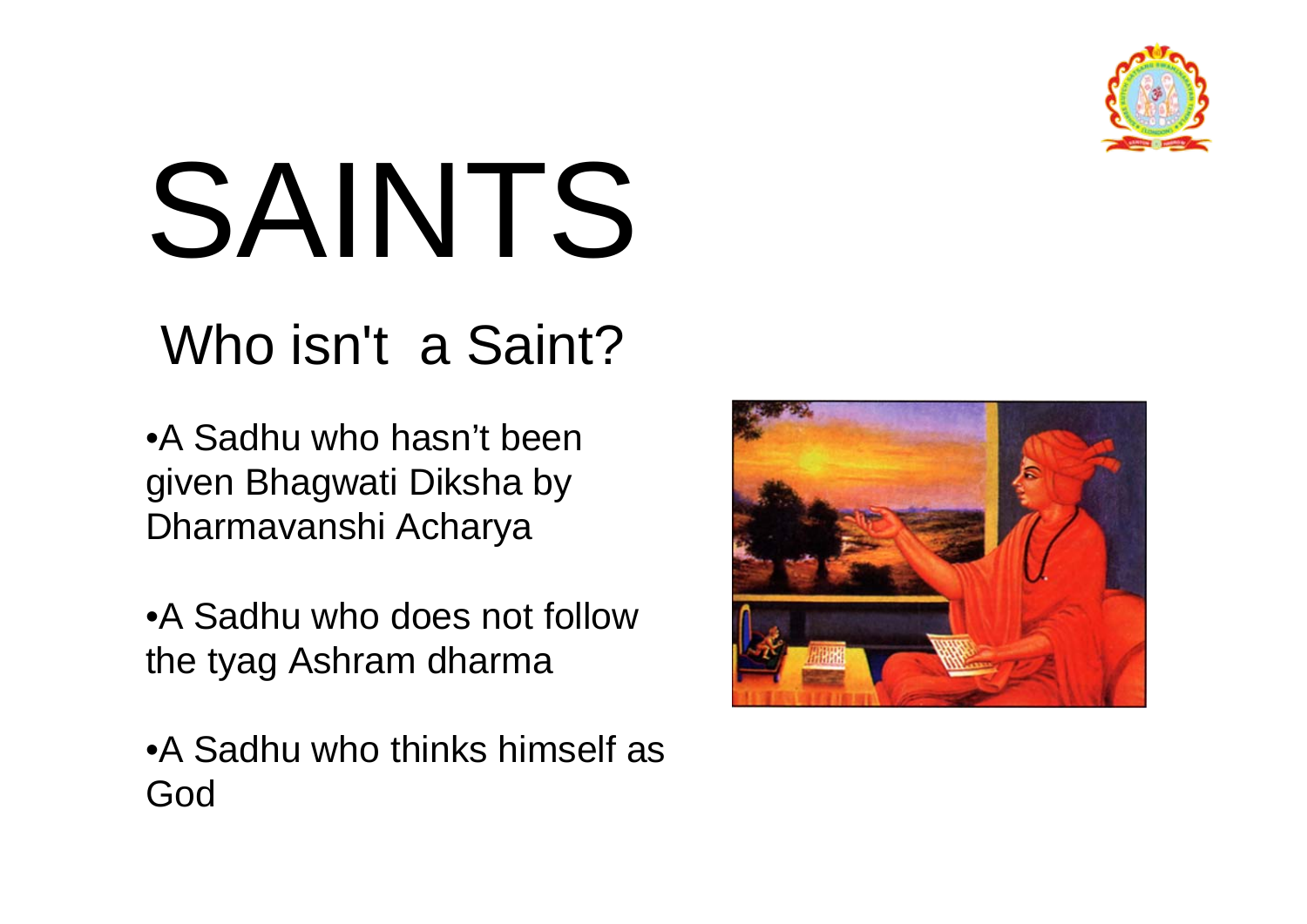

#### Who isn't a Saint?

•A Sadhu who hasn't been given Bhagwati Diksha by Dharmavanshi Acharya

•A Sadhu who does not follow the tyag Ashram dharma

•A Sadhu who thinks himself as God

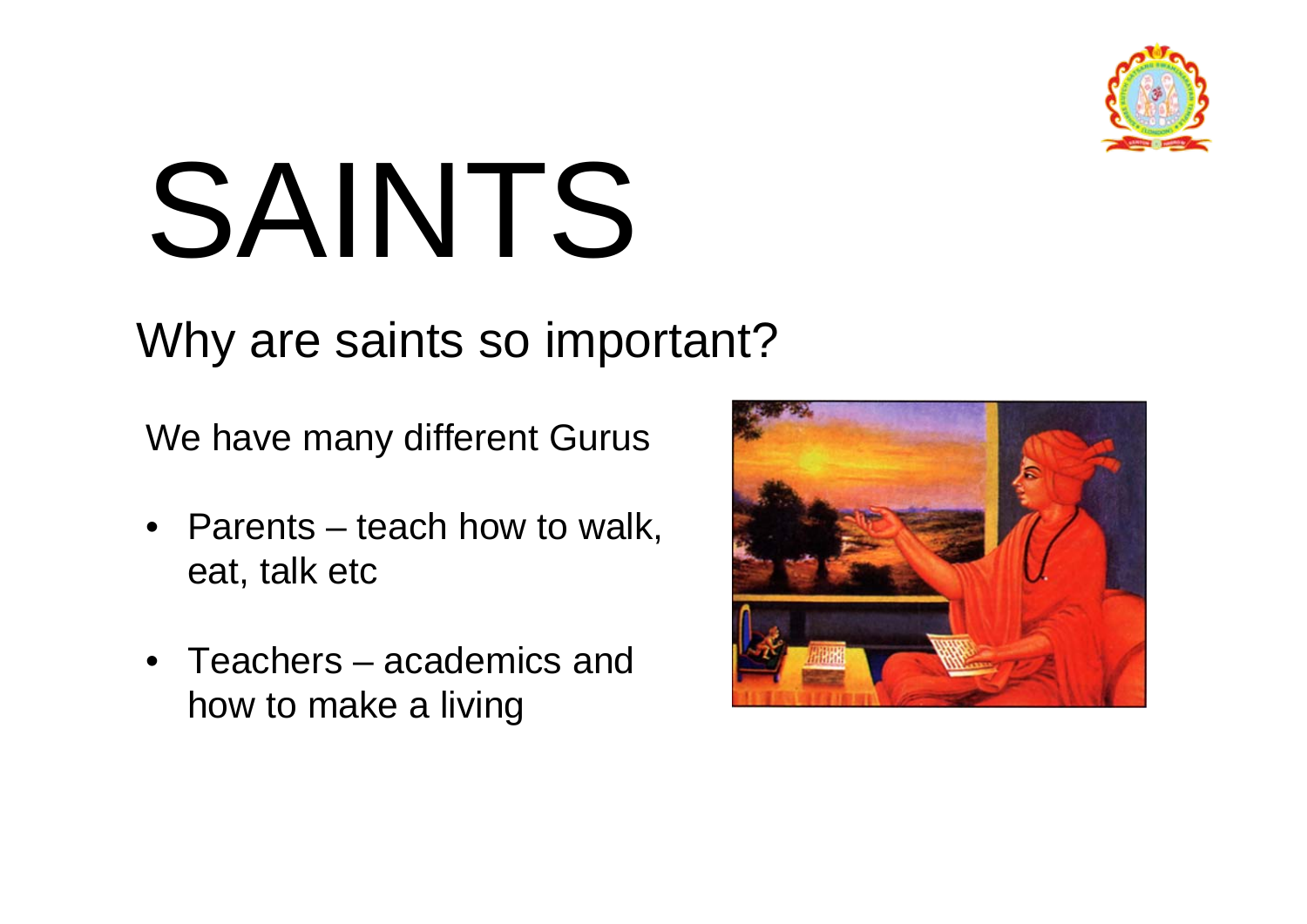

#### Why are saints so important?

We have many different Gurus

- Parents teach how to walk, eat, talk etc
- Teachers academics and how to make a living

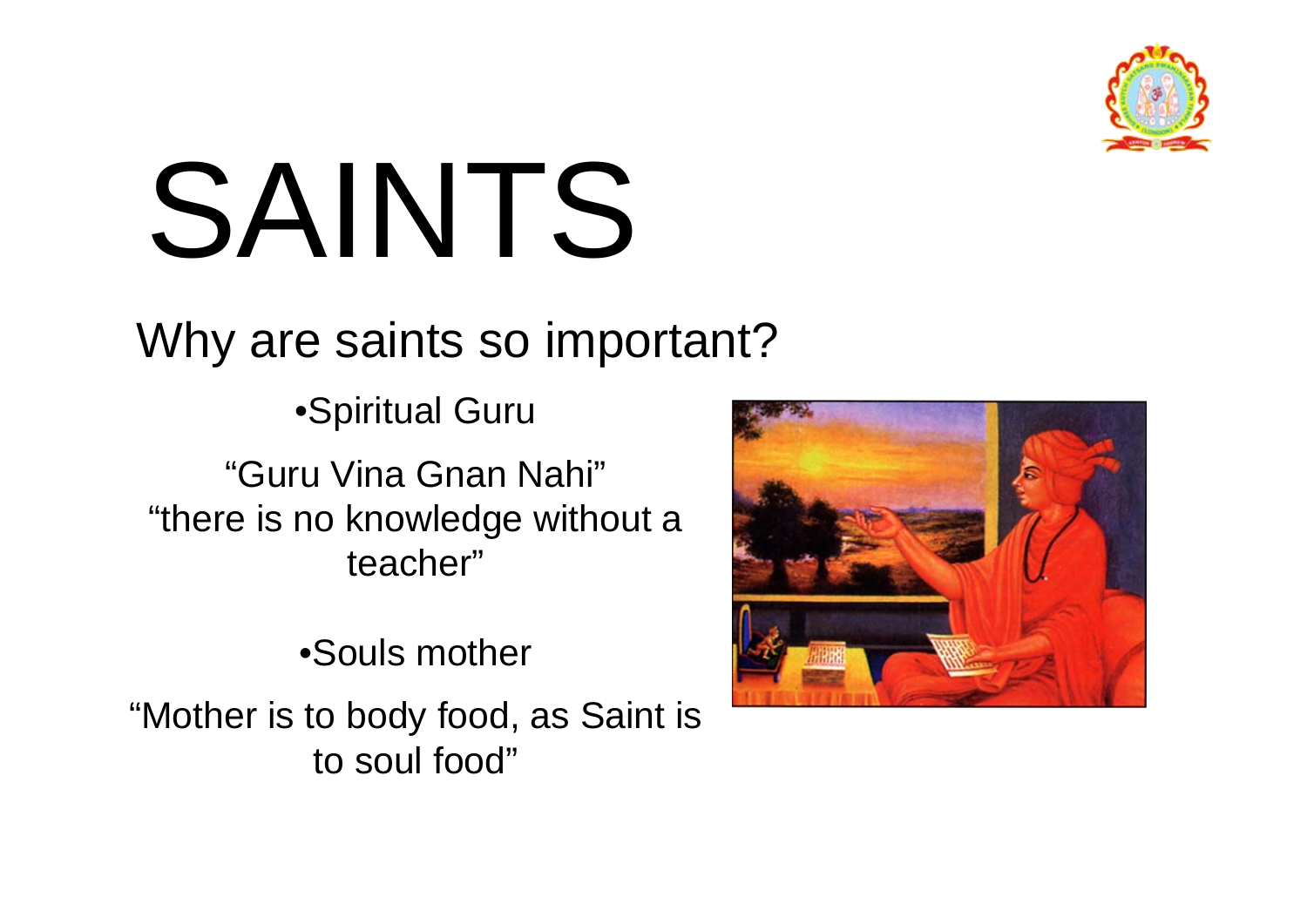

#### Why are saints so important?

•Spiritual Guru "Guru Vina Gnan Nahi" "there is no knowledge without a teacher"

•Souls mother

"Mother is to body food, as Saint is to soul food"

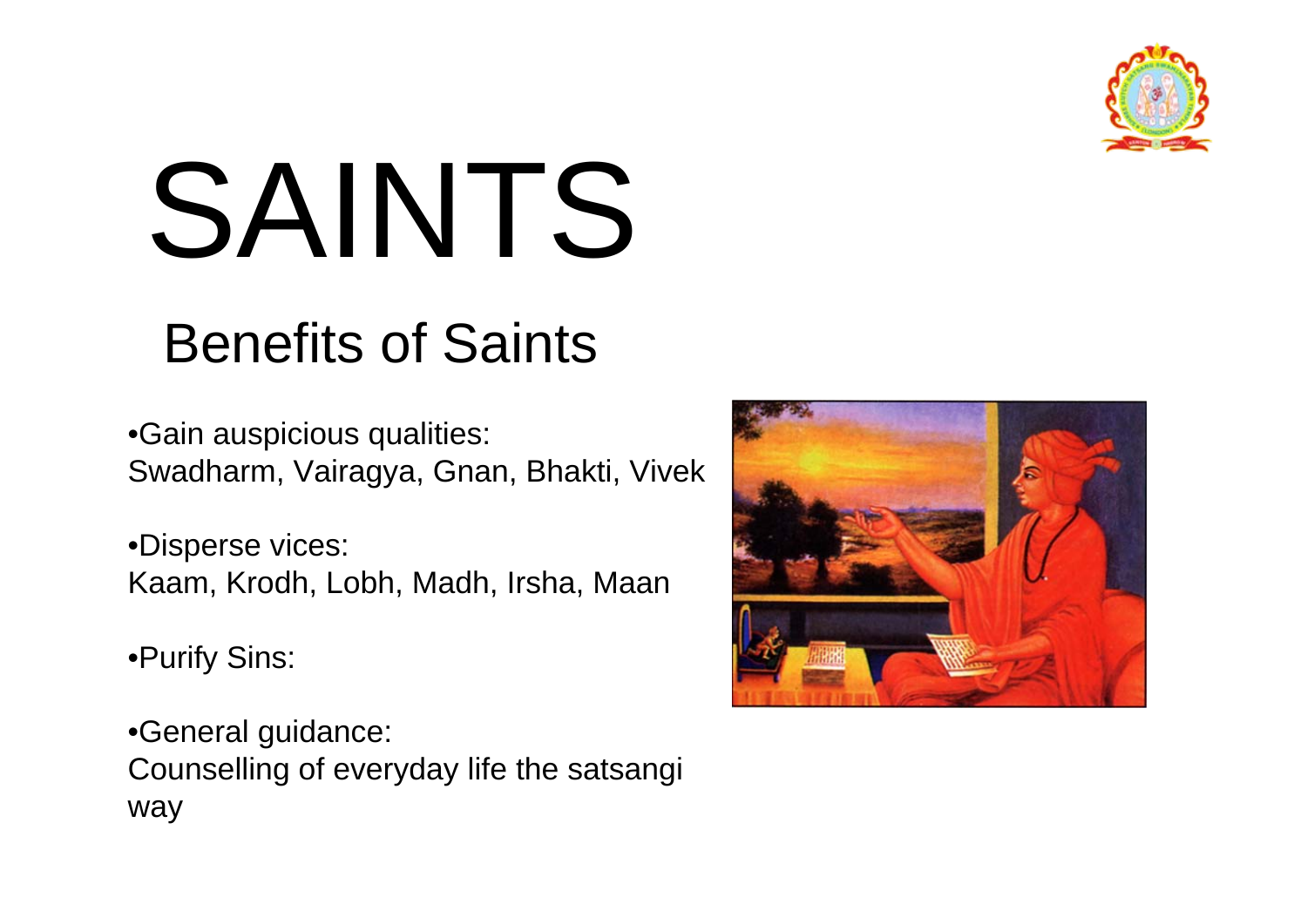

#### Benefits of Saints

•Gain auspicious qualities: Swadharm, Vairagya, Gnan, Bhakti, Vivek

•Disperse vices: Kaam, Krodh, Lobh, Madh, Irsha, Maan

•Purify Sins:

•General guidance: Counselling of everyday life the satsangi way

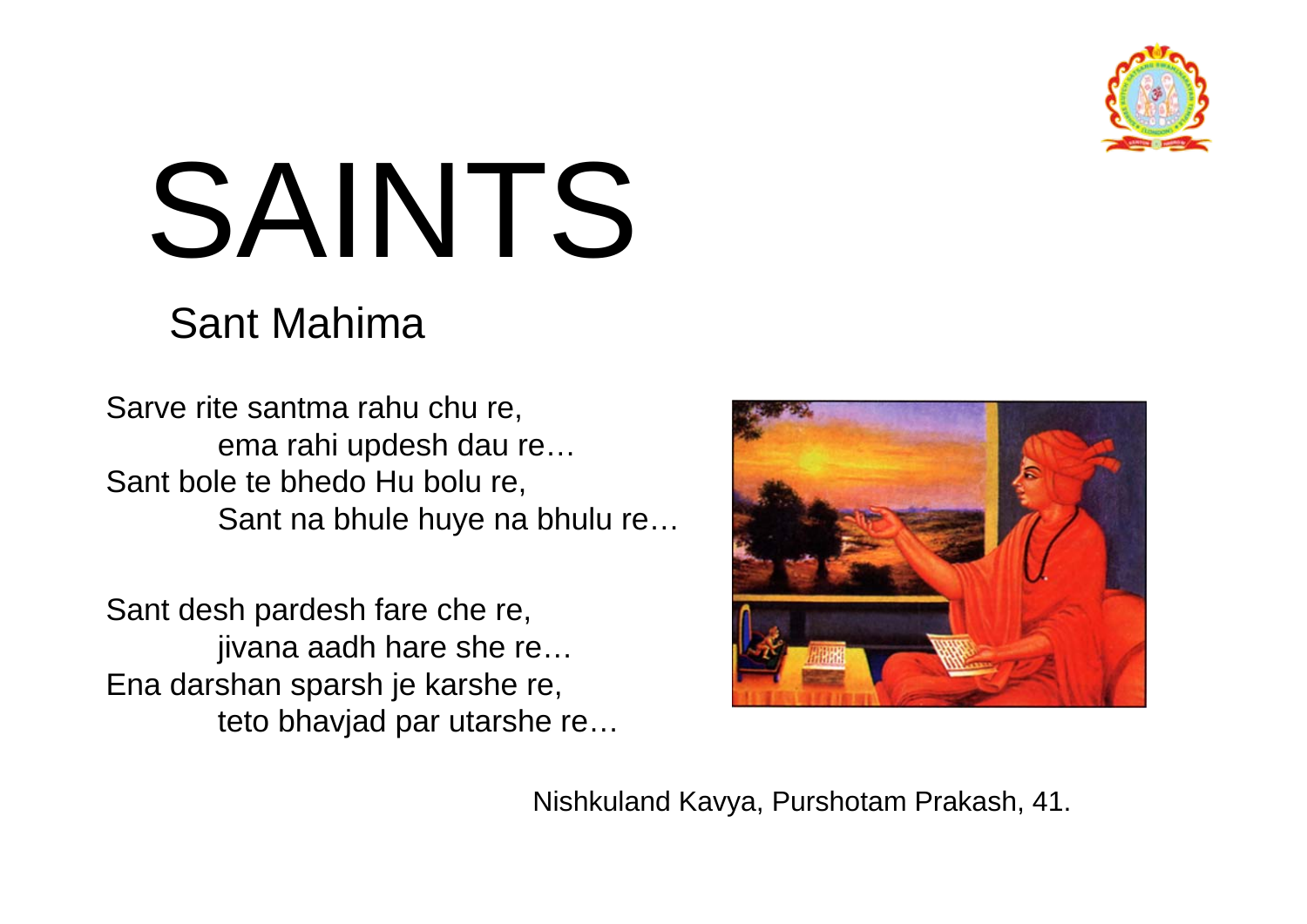

#### Sant Mahima

Sarve rite santma rahu chu re, ema rahi updesh dau re… Sant bole te bhedo Hu bolu re, Sant na bhule huye na bhulu re…

Sant desh pardesh fare che re, jivana aadh hare she re… Ena darshan sparsh je karshe re, teto bhavjad par utarshe re…



Nishkuland Kavya, Purshotam Prakash, 41.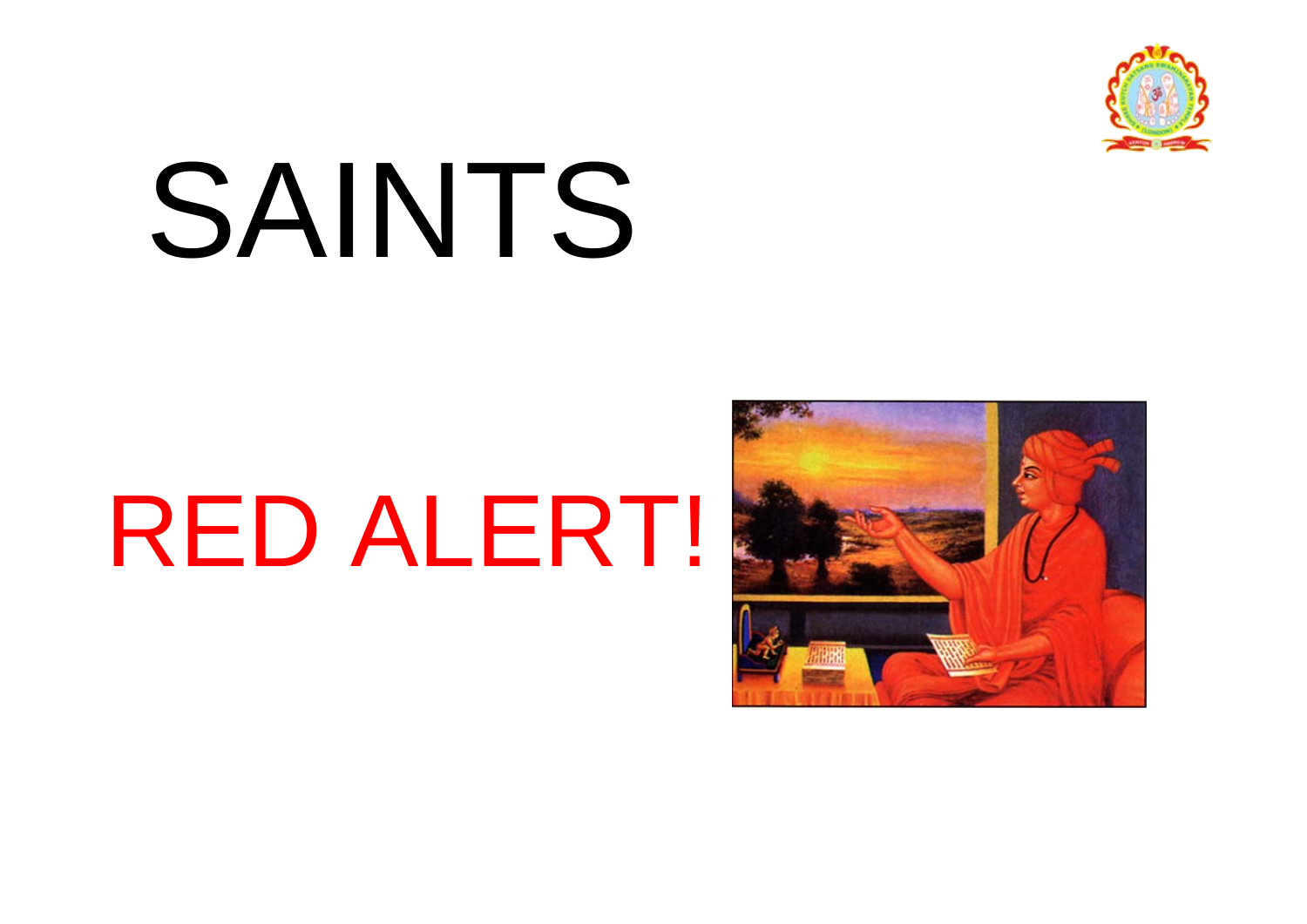

### RED ALERT!

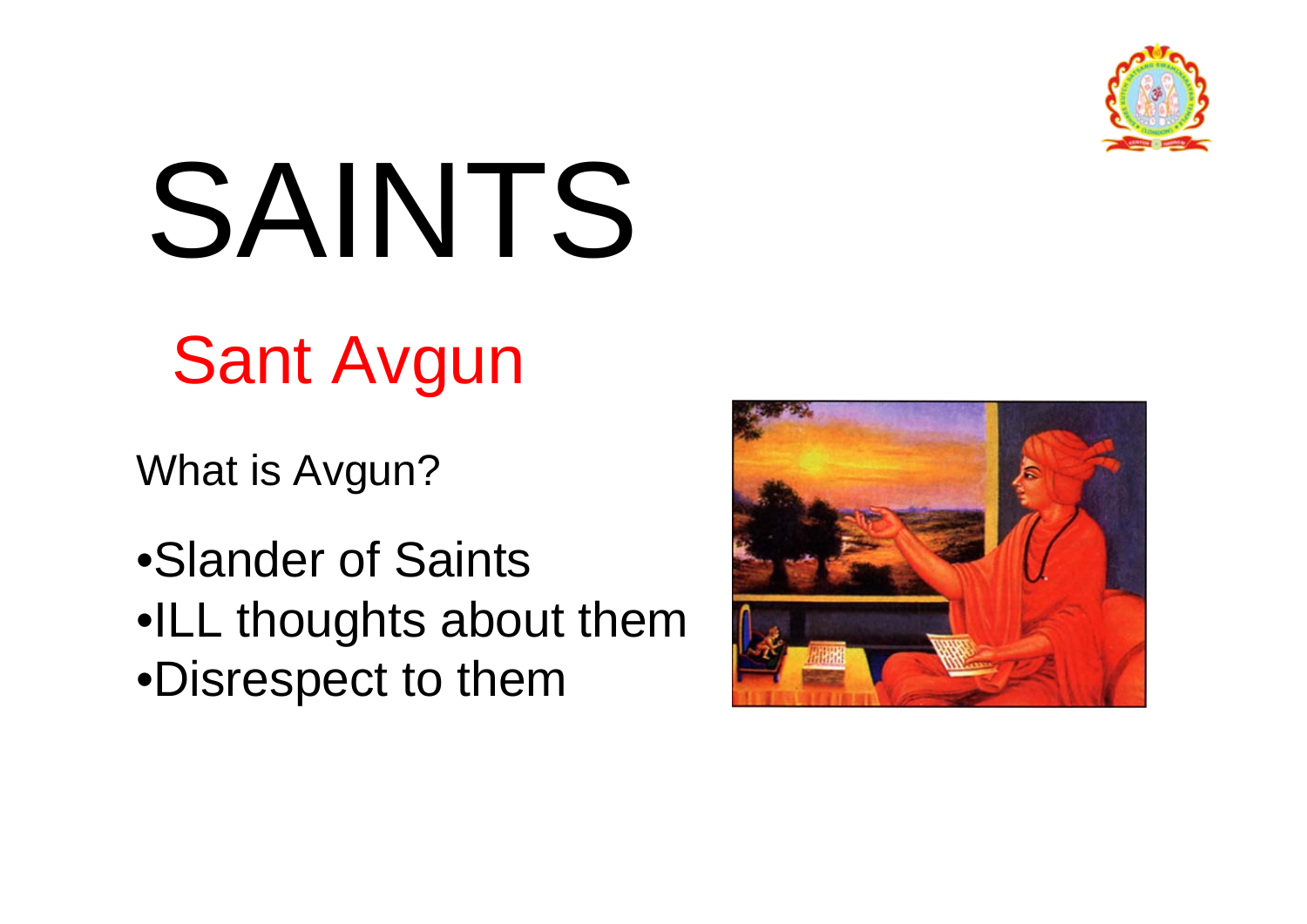

#### Sant Avgun

What is Avgun?

•Slander of Saints •ILL thoughts about them •Disrespect to them

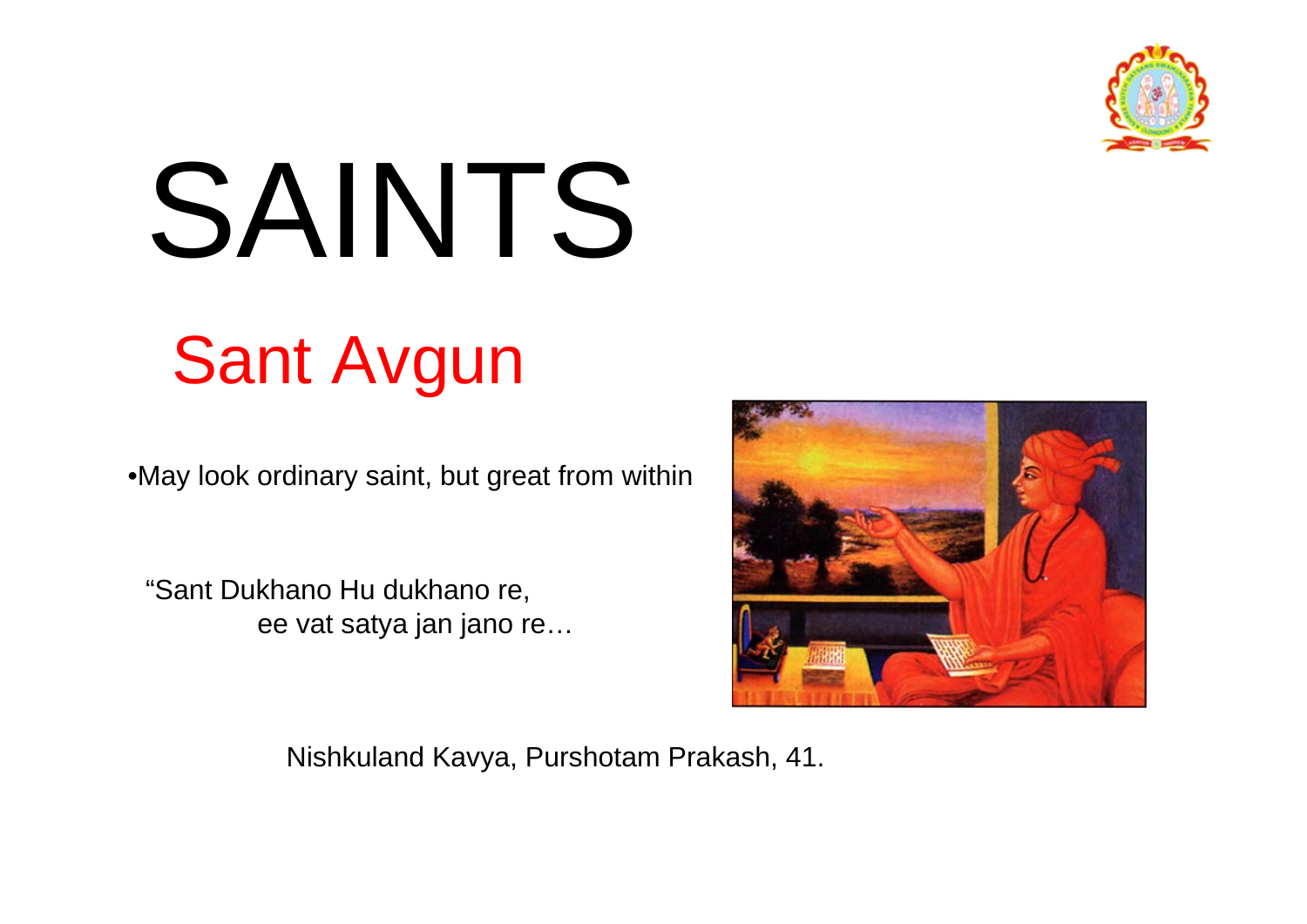![](_page_11_Picture_0.jpeg)

### SAINTS **Sant Avgun**

•May look ordinary saint, but great from within

"Sant Dukhano Hu dukhano re. ee vat satya jan jano re...

![](_page_11_Picture_4.jpeg)

Nishkuland Kavya, Purshotam Prakash, 41.